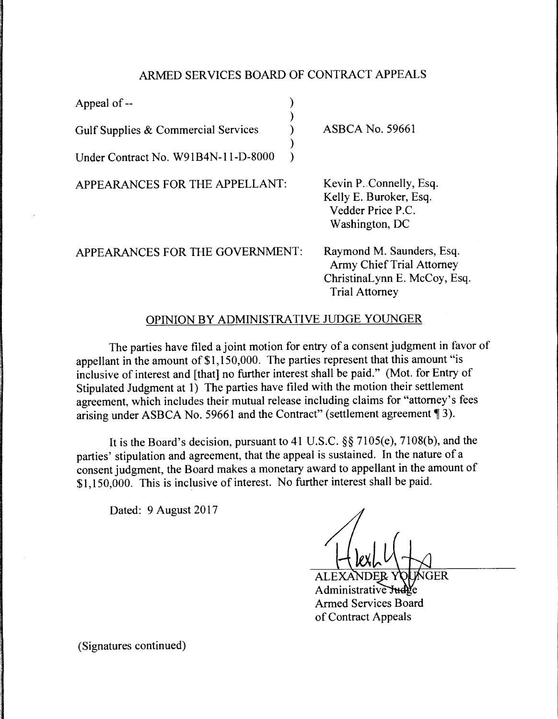## ARMED SERVICES BOARD OF CONTRACT APPEALS

)

)

Appeal of --

Gulf Supplies & Commercial Services )

Under Contract No. W91B4N-11-D-8000 )

APPEARANCES FOR THE APPELLANT:

ASBCA No. 59661

Kevin P. Connelly, Esq. Kelly E. Buroker, Esq. Vedder Price P.C. Washington, DC

APPEARANCES FOR THE GOVERNMENT:

Raymond M. Saunders, Esq. Army Chief Trial Attorney ChristinaLynn E. McCoy, Esq. Trial Attorney

## OPINION BY ADMINISTRATIVE JUDGE YOUNGER

The parties have filed a joint motion for entry of a consent judgment in favor of appellant in the amount of \$1,150,000. The parties represent that this amount "is inclusive of interest and [that] no further interest shall be paid." (Mot. for Entry of Stipulated Judgment at 1) The parties have filed with the motion their settlement agreement, which includes their mutual release including claims for "attorney's fees arising under ASBCA No. 59661 and the Contract" (settlement agreement ¶ 3).

It is the Board's decision, pursuant to 41 U.S.C. §§ 7105(e), 7108(b), and the parties' stipulation and agreement, that the appeal is sustained. In the nature of a consent judgment, the Board makes a monetary award to appellant in the amount of \$1, 150,000. This is inclusive of interest. No further interest shall be paid.

Dated: 9 August 2017

**GER** ALEXANDE Administrative Judge Armed Services Board of Contract Appeals

(Signatures continued)